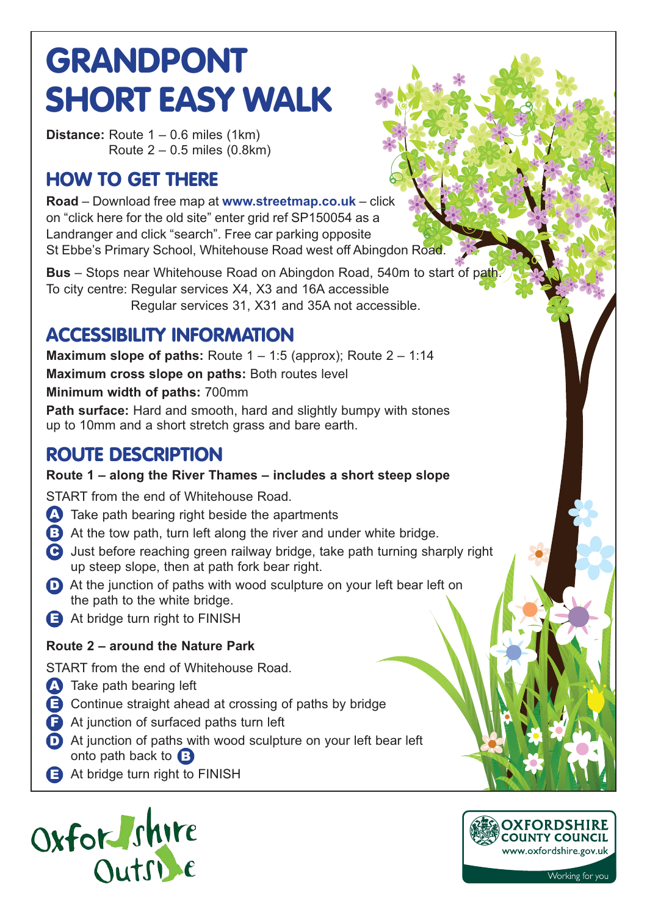# **GRANDPONT SHORT EASY WALK**

**Distance:** Route 1 – 0.6 miles (1km) Route 2 – 0.5 miles (0.8km)

## **HOW TO GET THERE**

**Road** – Download free map at **www.streetmap.co.uk** – click on "click here for the old site" enter grid ref SP150054 as a Landranger and click "search". Free car parking opposite St Ebbe's Primary School, Whitehouse Road west off Abingdon Road.

**Bus** – Stops near Whitehouse Road on Abingdon Road, 540m to start of path. To city centre: Regular services X4, X3 and 16A accessible Regular services 31, X31 and 35A not accessible.

## **ACCESSIBILITY INFORMATION**

**Maximum slope of paths:** Route 1 – 1:5 (approx); Route 2 – 1:14 **Maximum cross slope on paths:** Both routes level **Minimum width of paths:** 700mm

**Path surface:** Hard and smooth, hard and slightly bumpy with stones up to 10mm and a short stretch grass and bare earth.

### **ROUTE DESCRIPTION**

#### **Route 1 – along the River Thames – includes a short steep slope**

START from the end of Whitehouse Road.

- **A** Take path bearing right beside the apartments
- B At the tow path, turn left along the river and under white bridge.
- **G** Just before reaching green railway bridge, take path turning sharply right up steep slope, then at path fork bear right.
- **D** At the junction of paths with wood sculpture on your left bear left on the path to the white bridge.
- **E** At bridge turn right to FINISH

#### **Route 2 – around the Nature Park**

START from the end of Whitehouse Road.

- **A** Take path bearing left
- **E** Continue straight ahead at crossing of paths by bridge
- **F** At junction of surfaced paths turn left
- **D** At junction of paths with wood sculpture on your left bear left onto path back to **B**
- **E** At bridge turn right to FINISH